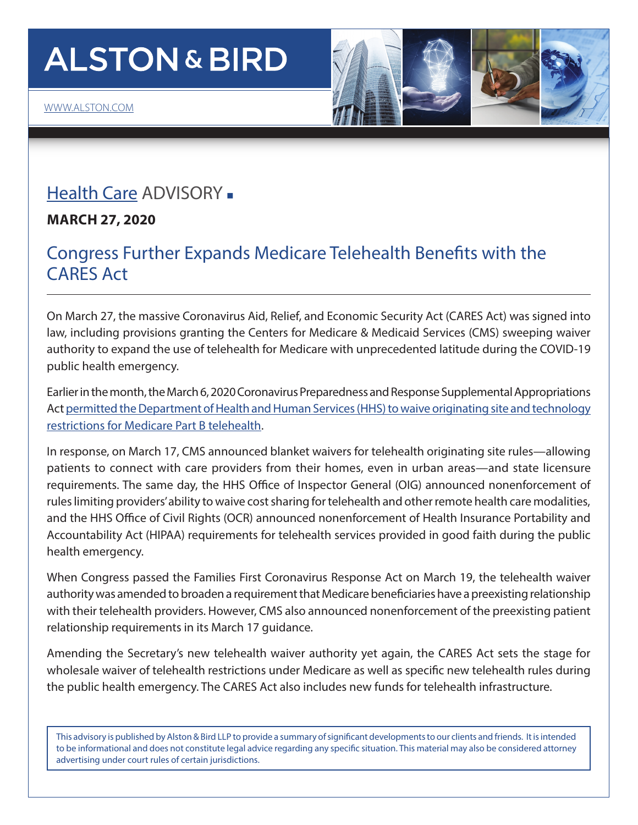# **ALSTON & BIRD**

# [Health Care](https://www.alston.com/en/services/industries/health-care-life-sciences/health-care) ADVISORY -

**MARCH 27, 2020**

## Congress Further Expands Medicare Telehealth Benefits with the CARES Act

On March 27, the massive Coronavirus Aid, Relief, and Economic Security Act (CARES Act) was signed into law, including provisions granting the Centers for Medicare & Medicaid Services (CMS) sweeping waiver authority to expand the use of telehealth for Medicare with unprecedented latitude during the COVID-19 public health emergency.

Earlier in the month, the March 6, 2020 Coronavirus Preparedness and Response Supplemental Appropriations Act [permitted the Department of Health and Human Services \(HHS\) to waive originating site and technology](https://www.alston.com/en/insights/publications/2020/03/congress-expands-medicare-telehealth) [restrictions for Medicare Part B telehealth.](https://www.alston.com/en/insights/publications/2020/03/congress-expands-medicare-telehealth)

In response, on March 17, CMS announced blanket waivers for telehealth originating site rules—allowing patients to connect with care providers from their homes, even in urban areas—and state licensure requirements. The same day, the HHS Office of Inspector General (OIG) announced nonenforcement of rules limiting providers' ability to waive cost sharing for telehealth and other remote health care modalities, and the HHS Office of Civil Rights (OCR) announced nonenforcement of Health Insurance Portability and Accountability Act (HIPAA) requirements for telehealth services provided in good faith during the public health emergency.

When Congress passed the Families First Coronavirus Response Act on March 19, the telehealth waiver authority was amended to broaden a requirement that Medicare beneficiaries have a preexisting relationship with their telehealth providers. However, CMS also announced nonenforcement of the preexisting patient relationship requirements in its March 17 guidance.

Amending the Secretary's new telehealth waiver authority yet again, the CARES Act sets the stage for wholesale waiver of telehealth restrictions under Medicare as well as specific new telehealth rules during the public health emergency. The CARES Act also includes new funds for telehealth infrastructure.

This advisory is published by Alston & Bird LLP to provide a summary of significant developments to our clients and friends. It is intended to be informational and does not constitute legal advice regarding any specific situation. This material may also be considered attorney advertising under court rules of certain jurisdictions.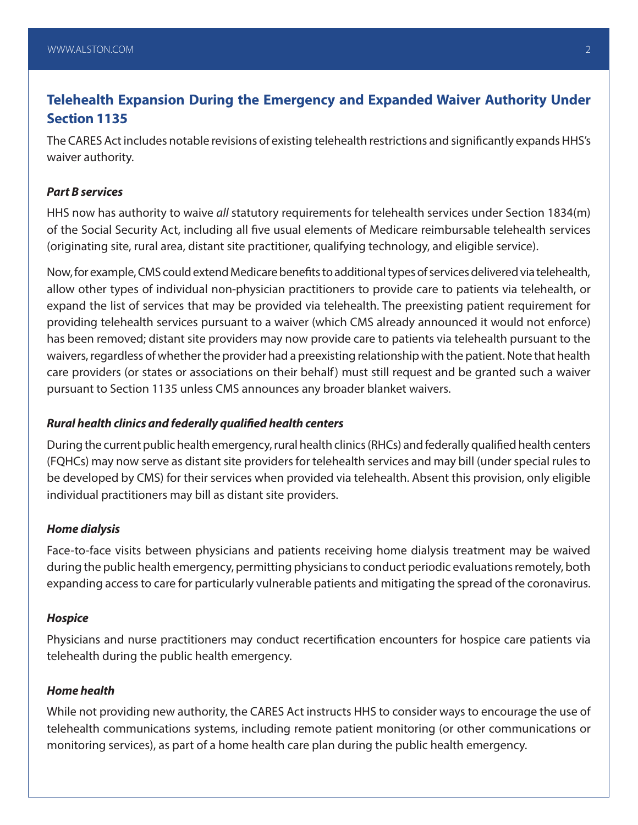## **Telehealth Expansion During the Emergency and Expanded Waiver Authority Under Section 1135**

The CARES Act includes notable revisions of existing telehealth restrictions and significantly expands HHS's waiver authority.

#### *Part B services*

HHS now has authority to waive *all* statutory requirements for telehealth services under Section 1834(m) of the Social Security Act, including all five usual elements of Medicare reimbursable telehealth services (originating site, rural area, distant site practitioner, qualifying technology, and eligible service).

Now, for example, CMS could extend Medicare benefits to additional types of services delivered via telehealth, allow other types of individual non-physician practitioners to provide care to patients via telehealth, or expand the list of services that may be provided via telehealth. The preexisting patient requirement for providing telehealth services pursuant to a waiver (which CMS already announced it would not enforce) has been removed; distant site providers may now provide care to patients via telehealth pursuant to the waivers, regardless of whether the provider had a preexisting relationship with the patient. Note that health care providers (or states or associations on their behalf) must still request and be granted such a waiver pursuant to Section 1135 unless CMS announces any broader blanket waivers.

#### *Rural health clinics and federally qualified health centers*

During the current public health emergency, rural health clinics (RHCs) and federally qualified health centers (FQHCs) may now serve as distant site providers for telehealth services and may bill (under special rules to be developed by CMS) for their services when provided via telehealth. Absent this provision, only eligible individual practitioners may bill as distant site providers.

#### *Home dialysis*

Face-to-face visits between physicians and patients receiving home dialysis treatment may be waived during the public health emergency, permitting physicians to conduct periodic evaluations remotely, both expanding access to care for particularly vulnerable patients and mitigating the spread of the coronavirus.

#### *Hospice*

Physicians and nurse practitioners may conduct recertification encounters for hospice care patients via telehealth during the public health emergency.

#### *Home health*

While not providing new authority, the CARES Act instructs HHS to consider ways to encourage the use of telehealth communications systems, including remote patient monitoring (or other communications or monitoring services), as part of a home health care plan during the public health emergency.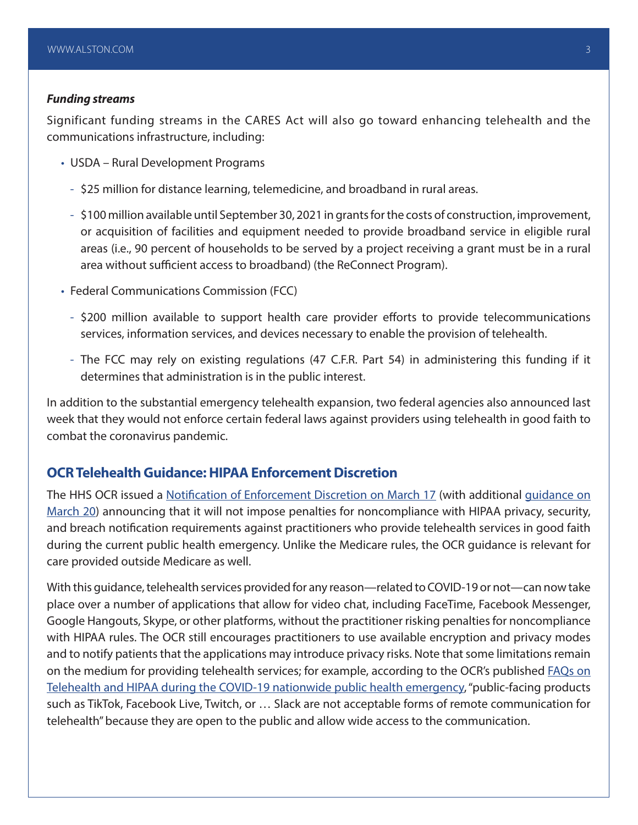#### *Funding streams*

Significant funding streams in the CARES Act will also go toward enhancing telehealth and the communications infrastructure, including:

- USDA Rural Development Programs
	- \$25 million for distance learning, telemedicine, and broadband in rural areas.
	- \$100 million available until September 30, 2021 in grants for the costs of construction, improvement, or acquisition of facilities and equipment needed to provide broadband service in eligible rural areas (i.e., 90 percent of households to be served by a project receiving a grant must be in a rural area without sufficient access to broadband) (the ReConnect Program).
- Federal Communications Commission (FCC)
	- \$200 million available to support health care provider efforts to provide telecommunications services, information services, and devices necessary to enable the provision of telehealth.
	- The FCC may rely on existing regulations (47 C.F.R. Part 54) in administering this funding if it determines that administration is in the public interest.

In addition to the substantial emergency telehealth expansion, two federal agencies also announced last week that they would not enforce certain federal laws against providers using telehealth in good faith to combat the coronavirus pandemic.

### **OCR Telehealth Guidance: HIPAA Enforcement Discretion**

The HHS OCR issued a [Notification of Enforcement Discretion on March 17](https://www.hhs.gov/hipaa/for-professionals/special-topics/emergency-preparedness/notification-enforcement-discretion-telehealth/index.html) (with additional [guidance on](https://www.hhs.gov/about/news/2020/03/20/ocr-issues-guidance-on-telehealth-remote-communications-following-its-notification-of-enforcement-discretion.html) [March 20\)](https://www.hhs.gov/about/news/2020/03/20/ocr-issues-guidance-on-telehealth-remote-communications-following-its-notification-of-enforcement-discretion.html) announcing that it will not impose penalties for noncompliance with HIPAA privacy, security, and breach notification requirements against practitioners who provide telehealth services in good faith during the current public health emergency. Unlike the Medicare rules, the OCR guidance is relevant for care provided outside Medicare as well.

With this guidance, telehealth services provided for any reason—related to COVID-19 or not—can now take place over a number of applications that allow for video chat, including FaceTime, Facebook Messenger, Google Hangouts, Skype, or other platforms, without the practitioner risking penalties for noncompliance with HIPAA rules. The OCR still encourages practitioners to use available encryption and privacy modes and to notify patients that the applications may introduce privacy risks. Note that some limitations remain on the medium for providing telehealth services; for example, according to the OCR's published [FAQs on](https://www.hhs.gov/sites/default/files/telehealth-faqs-508.pdf) [Telehealth and HIPAA during the COVID-19 nationwide public health emergency,](https://www.hhs.gov/sites/default/files/telehealth-faqs-508.pdf) "public-facing products such as TikTok, Facebook Live, Twitch, or … Slack are not acceptable forms of remote communication for telehealth" because they are open to the public and allow wide access to the communication.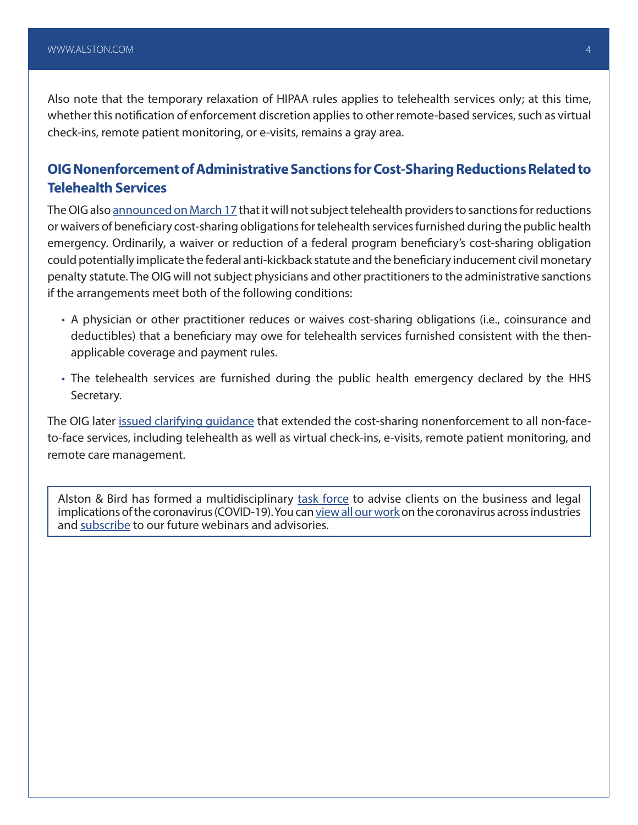Also note that the temporary relaxation of HIPAA rules applies to telehealth services only; at this time, whether this notification of enforcement discretion applies to other remote-based services, such as virtual check-ins, remote patient monitoring, or e-visits, remains a gray area.

### **OIG Nonenforcement of Administrative Sanctions for Cost-Sharing Reductions Related to Telehealth Services**

The OIG also [announced on March 17](https://oig.hhs.gov/fraud/docs/alertsandbulletins/2020/policy-telehealth-2020.pdf) that it will not subject telehealth providers to sanctions for reductions or waivers of beneficiary cost-sharing obligations for telehealth services furnished during the public health emergency. Ordinarily, a waiver or reduction of a federal program beneficiary's cost-sharing obligation could potentially implicate the federal anti-kickback statute and the beneficiary inducement civil monetary penalty statute. The OIG will not subject physicians and other practitioners to the administrative sanctions if the arrangements meet both of the following conditions:

- A physician or other practitioner reduces or waives cost-sharing obligations (i.e., coinsurance and deductibles) that a beneficiary may owe for telehealth services furnished consistent with the thenapplicable coverage and payment rules.
- The telehealth services are furnished during the public health emergency declared by the HHS Secretary.

The OIG later [issued clarifying guidance](https://oig.hhs.gov/fraud/docs/alertsandbulletins/2020/telehealth-waiver-faq-2020.pdf) that extended the cost-sharing nonenforcement to all non-faceto-face services, including telehealth as well as virtual check-ins, e-visits, remote patient monitoring, and remote care management.

Alston & Bird has formed a multidisciplinary [task force](https://www.alston.com/en/resources/coronavirus/overview) to advise clients on the business and legal implications of the coronavirus (COVID-19). You can [view all our work](https://www.alston.com/en/insights/?keyword=Coronavirus&reload=false&scroll=499.7685546875) on the coronavirus across industries and [subscribe](https://www.alston.com/en/resources/subscriptions-form) to our future webinars and advisories.